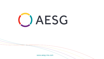

[www.aesg-me.com](http://aesg-me.com/)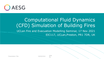

# Computational Fluid Dynamics (CFD) Simulation of Building Fires UCLan Fire and Evacuation Modelling Seminar, 17 Nov 2021 EIC117, UCLan,Preston, PR1 7DR, UK

No.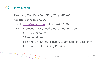# **Introduction**

Jianqiang Mai, Dr MEng BEng CEng MIFireE Associate Director, AESG

- Email: [j.mai@aesg.com](mailto:j.mai@aesg.com) Mob 07449789665
- AESG: 5 offices in UK, Middle East, and Singapore

>150 consultants

27 nationalities

Fire and Life Safety, Façade, Sustainability, Acoustics,

Environmental, Building Physics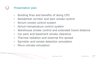## Presentation plan

- Building fires and benefits of doing CFD
- Residential corridor and stair smoke control
- Atrium smoke control system
- Atrium temperature control system
- Warehouse smoke control and extended travel distance
- Car park and basement smoke clearance
- Thermal radiation and external fire spread
- Sprinkler and smoke detection simulation
- Micro-climate simulation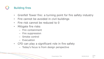## Building fires

- Grenfell Tower fire: a turning point for fire safety industry
- Fire cannot be avoided in civil buildings
- Fire risk cannot be reduced to 0
- Mitigate fire risks
	- Fire containment
	- Fire suppression
	- Smoke control
	- Evacuation
- CFD can play a significant role in fire safety
	- Today's focus is from design perspective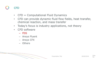# CFD

- $CFD = Computational Fluid Dynamics$
- CFD can provide dynamic fluid flow fields, heat transfer, chemical reaction, and mass transfer
- Today's focus is industry applications, not theory
- CFD software
	- FDS
	- Ansys Fluent
	- Ansys CFX
	- Others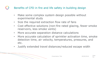### Benefits of CFD in fire and life safety in building design

- Make some complex system design possible without experimental study
- Size the required extraction flow rate of fans
- Cost effective solutions (non-fire rated glazing, fewer smoke reservoirs, less smoke vents)
- More accurate separation distance calculations
- More accurate calculation of sprinkler activation time, smoke detection time, air velocity, temperatures, pressures, and etc.
- Justify extended travel distances/reduced escape width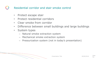- Protect escape stair
- Protect residential corridors
- Clear smoke from corridor
- Difference between small buildings and large buildings
- System types
	- Natural smoke extraction system
	- Mechanical smoke extraction system
	- Pressurization system (not in today's presentation)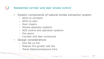#### $\qquad \qquad \bullet$ Residential corridor and stair smoke control

- System components of natural smoke extraction system
	- AOVs to corridors
	- AOVs to stair
	- Door closers
	- Smoke detection systems
	- AOV control and operation systems
	- Fire doors
	- Corridor and stair enclosures
- Design considerations
	- One flat on fire
	- Medium fire growth rate fire
	- Travel distance/exposure time

No.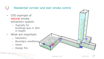- CFD example of natural smoke extraction system
	- Typically for buildings less in 30m in height
- What are important
	- Geometry
	- Boundary conditions
	- Vents
	- Design fire



No.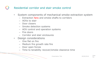- System components of mechanical smoke extraction system
	- Extraction fans and smoke shafts to corridors
	- AOVs to stair
	- Door closers
	- Smoke detection systems
	- AOV control and operation systems
	- Fire doors
	- Corridor and stair enclosures
- Design considerations
	- One flat on fire
	- Medium fire growth rate fire
	- Door open forces
	- Time to tenability recover/smoke clearance time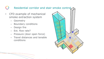- CFD example of mechanical smoke extraction system
	- Geometry
	- Boundary conditions
	- Design fire
	- Ext. flow rate?
	- Pressure (door open force)
	- Travel distances and tenable conditions

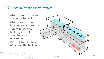## Atrium smoke control system

- Atrium smoke control system – tenability
- Atrium with open balcony escape routes
- Typically used for buildings adopt simultaneous evacuation
- Difficult for FF phase of residential buildings

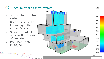## Atrium smoke control system• Temperature control system • Used to justify the fire rating of the atrium façade • Smoke retardant construction instead of fire rated • D30, D60, D90, D120, DA Presentation Title 600 and 00/00/2018 Slide Time: 468.0

Slice temp °C.

203.9

185.4

166.8

148.3

129.8

111.2

92.68

74.14

55.59

37.05

18.51

No.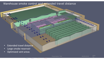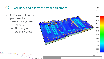#### Car park and basement smoke clearance $\overline{(\ )}$

- CFD example of car park smoke clearance system
	- Jet fans
	- Air changes
	- Stagnant areas



Slice vel  $m/s$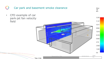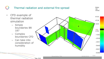#### Thermal radiation and external fire spread**Bndry** rad kW/m2 • CFD example of 61.92 thermal radiation 47.38 simulation 32.83 – Simple boundaries BR  $10.0$ 187 3.732 – Complex  $-10.82$ boundaries CFD  $-25.36$ – Can take into  $-39.91$ consideration of humidity  $-54.46$  $-69.01$  $-83.56$ Presentation Title 600 and 00/00/2018 Slide No. Time: 50.0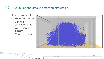#### Sprinkler and smoke detection simulation $\begin{pmatrix} 1 \\ 1 \end{pmatrix}$

- CFD example of sprinkler activation
	- Sprinkler activation time
	- Water spray pattern
	- Coverage area



|            | <b>Presentation Title</b> | 00/00/2018 | Slide |
|------------|---------------------------|------------|-------|
| Time: A.0. |                           |            | TVO.  |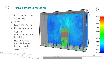### Micro-climate simulation $\overline{(\ }$

- CFD example of air conditioning systems
	- Blow cool air in
	- Extract warm air
	- Control temperature and humidity
	- Heat sources include heaters, human bodies, solar energy



Presentation Title 00/00/2018 Slide

No.

Time: 2970.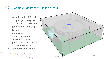## Complex geometry – is it an issue?

- With the help of Pyrosim, complex geometry can be simulated reasonably good for most buildings by FDS
- Some complex geometries cannot be simulated reasonably good by FDS and should use other software
- Computer power limit

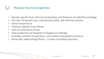## Physical thermal properties

- Density, specific heat, thermal conductivity, and thickness of walls/floors/ceilings
- Fire size, fire growth rate, soot/species yields, and chemical reaction
- Flame temperature
- Thermal radiation from flames
- Heat of combustion of fuel
- Heat production per kilogram of Oxygen (13.1MJ/kg)
- Humidity, ambient temperature, and ambient atmospheric pressure
- Multi-layer walls/ceilings/floors U-value of building elements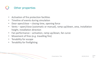## Other properties

- Activation of fire protection facilities
- Timeline of events during simulation
- Door open/close closing time, opening force
- Vents open/close (automatic or manual), ramp up/down, area, installation height, installation direction
- Fan performance activation, ramp up/down, fan curve
- Movement of fires (e.g. travelling fire)
- Tenability for escape
- Tenability for firefighting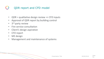### QDR report and CFD model  $(\ )$

- QDR = qualitative design review => CFD inputs
- Approval of QDR report by building control
- 3<sup>rd</sup> party review
- Fire service consultation
- Client's design aspiration
- CFD report
- ME design
- Management and maintenance of systems